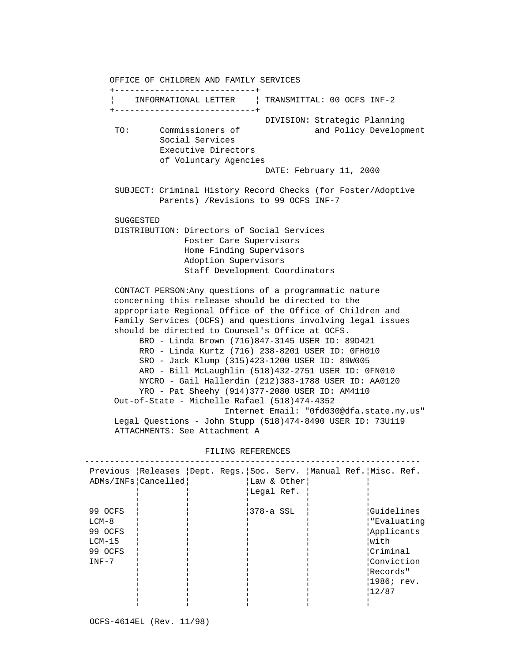OFFICE OF CHILDREN AND FAMILY SERVICES +----------------------------+ ¦ INFORMATIONAL LETTER ¦ TRANSMITTAL: 00 OCFS INF-2 +----------------------------+ DIVISION: Strategic Planning TO: Commissioners of and Policy Development Social Services Executive Directors of Voluntary Agencies DATE: February 11, 2000 SUBJECT: Criminal History Record Checks (for Foster/Adoptive Parents) /Revisions to 99 OCFS INF-7 SUGGESTED DISTRIBUTION: Directors of Social Services Foster Care Supervisors Home Finding Supervisors Adoption Supervisors Staff Development Coordinators CONTACT PERSON:Any questions of a programmatic nature concerning this release should be directed to the appropriate Regional Office of the Office of Children and Family Services (OCFS) and questions involving legal issues should be directed to Counsel's Office at OCFS. BRO - Linda Brown (716)847-3145 USER ID: 89D421 RRO - Linda Kurtz (716) 238-8201 USER ID: 0FH010 SRO - Jack Klump (315)423-1200 USER ID: 89W005 ARO - Bill McLaughlin (518)432-2751 USER ID: 0FN010 NYCRO - Gail Hallerdin (212)383-1788 USER ID: AA0120 YRO - Pat Sheehy (914)377-2080 USER ID: AM4110 Out-of-State - Michelle Rafael (518)474-4352 Internet Email: "0fd030@dfa.state.ny.us" Legal Questions - John Stupp (518)474-8490 USER ID: 73U119 ATTACHMENTS: See Attachment A

|         |                       |             | Previous   Releases   Dept. Regs.   Soc. Serv.   Manual Ref.   Misc. Ref. |
|---------|-----------------------|-------------|---------------------------------------------------------------------------|
|         | ADMs/INFs   Cancelled | Law & Other |                                                                           |
|         |                       | ¦Legal Ref. |                                                                           |
|         |                       |             |                                                                           |
| 99 OCFS |                       | 378-a SSL   | Guidelines                                                                |
| LCM-8   |                       |             | :"Evaluatinq"                                                             |
| 99 OCFS |                       |             | Applicants                                                                |
| LCM-15  |                       |             | with                                                                      |
| 99 OCFS |                       |             | Criminal                                                                  |
| $INF-7$ |                       |             | Conviction                                                                |
|         |                       |             | Records"                                                                  |
|         |                       |             | $ 1986;$ rev.                                                             |
|         |                       |             | 12/87                                                                     |
|         |                       |             |                                                                           |

 FILING REFERENCES -------------------------------------------------------------------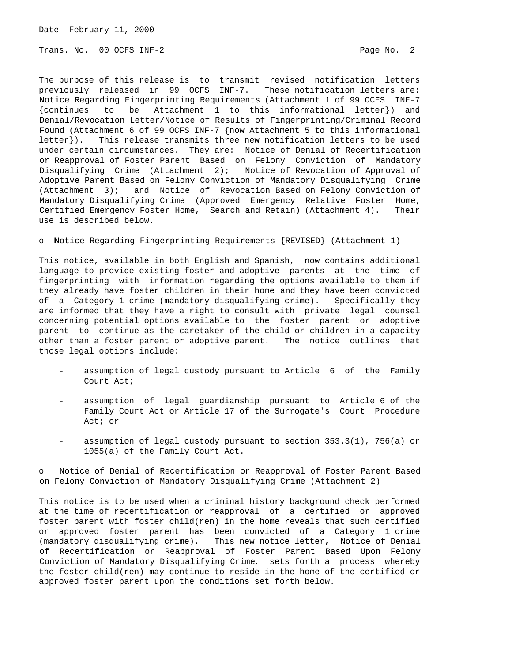Date February 11, 2000

Trans. No. 00 OCFS INF-2 **Page No. 2** Page No. 2

The purpose of this release is to transmit revised notification letters previously released in 99 OCFS INF-7. These notification letters are: Notice Regarding Fingerprinting Requirements (Attachment 1 of 99 OCFS INF-7 {continues to be Attachment 1 to this informational letter}) and Denial/Revocation Letter/Notice of Results of Fingerprinting/Criminal Record Found (Attachment 6 of 99 OCFS INF-7 {now Attachment 5 to this informational letter}). This release transmits three new notification letters to be used under certain circumstances. They are: Notice of Denial of Recertification or Reapproval of Foster Parent Based on Felony Conviction of Mandatory Disqualifying Crime (Attachment 2); Notice of Revocation of Approval of Adoptive Parent Based on Felony Conviction of Mandatory Disqualifying Crime (Attachment 3); and Notice of Revocation Based on Felony Conviction of Mandatory Disqualifying Crime (Approved Emergency Relative Foster Home, Certified Emergency Foster Home, Search and Retain) (Attachment 4). Their use is described below.

o Notice Regarding Fingerprinting Requirements {REVISED} (Attachment 1)

This notice, available in both English and Spanish, now contains additional language to provide existing foster and adoptive parents at the time of fingerprinting with information regarding the options available to them if they already have foster children in their home and they have been convicted of a Category 1 crime (mandatory disqualifying crime). Specifically they are informed that they have a right to consult with private legal counsel concerning potential options available to the foster parent or adoptive parent to continue as the caretaker of the child or children in a capacity other than a foster parent or adoptive parent. The notice outlines that those legal options include:

- assumption of legal custody pursuant to Article 6 of the Family Court Act;
- assumption of legal guardianship pursuant to Article 6 of the Family Court Act or Article 17 of the Surrogate's Court Procedure Act; or
- assumption of legal custody pursuant to section  $353.3(1)$ ,  $756(a)$  or 1055(a) of the Family Court Act.

o Notice of Denial of Recertification or Reapproval of Foster Parent Based on Felony Conviction of Mandatory Disqualifying Crime (Attachment 2)

This notice is to be used when a criminal history background check performed at the time of recertification or reapproval of a certified or approved foster parent with foster child(ren) in the home reveals that such certified or approved foster parent has been convicted of a Category 1 crime (mandatory disqualifying crime). This new notice letter, Notice of Denial of Recertification or Reapproval of Foster Parent Based Upon Felony Conviction of Mandatory Disqualifying Crime, sets forth a process whereby the foster child(ren) may continue to reside in the home of the certified or approved foster parent upon the conditions set forth below.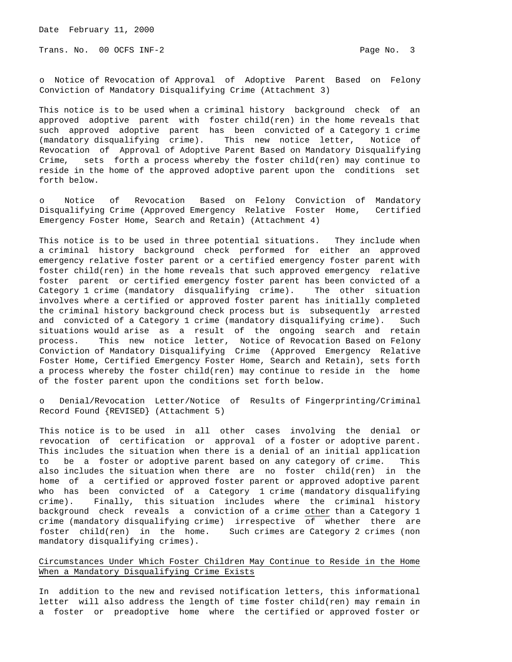Trans. No. 00 OCFS INF-2 Page No. 3

o Notice of Revocation of Approval of Adoptive Parent Based on Felony Conviction of Mandatory Disqualifying Crime (Attachment 3)

This notice is to be used when a criminal history background check of an approved adoptive parent with foster child(ren) in the home reveals that such approved adoptive parent has been convicted of a Category 1 crime (mandatory disqualifying crime). This new notice letter, Notice of Revocation of Approval of Adoptive Parent Based on Mandatory Disqualifying Crime, sets forth a process whereby the foster child(ren) may continue to reside in the home of the approved adoptive parent upon the conditions set forth below.

o Notice of Revocation Based on Felony Conviction of Mandatory Disqualifying Crime (Approved Emergency Relative Foster Home, Certified Emergency Foster Home, Search and Retain) (Attachment 4)

This notice is to be used in three potential situations. They include when a criminal history background check performed for either an approved emergency relative foster parent or a certified emergency foster parent with foster child(ren) in the home reveals that such approved emergency relative foster parent or certified emergency foster parent has been convicted of a Category 1 crime (mandatory disqualifying crime). The other situation involves where a certified or approved foster parent has initially completed the criminal history background check process but is subsequently arrested and convicted of a Category 1 crime (mandatory disqualifying crime). Such situations would arise as a result of the ongoing search and retain process. This new notice letter, Notice of Revocation Based on Felony Conviction of Mandatory Disqualifying Crime (Approved Emergency Relative Foster Home, Certified Emergency Foster Home, Search and Retain), sets forth a process whereby the foster child(ren) may continue to reside in the home of the foster parent upon the conditions set forth below.

o Denial/Revocation Letter/Notice of Results of Fingerprinting/Criminal Record Found {REVISED} (Attachment 5)

This notice is to be used in all other cases involving the denial or revocation of certification or approval of a foster or adoptive parent. This includes the situation when there is a denial of an initial application to be a foster or adoptive parent based on any category of crime. This also includes the situation when there are no foster child(ren) in the home of a certified or approved foster parent or approved adoptive parent who has been convicted of a Category 1 crime (mandatory disqualifying crime). Finally, this situation includes where the criminal history background check reveals a conviction of a crime other than a Category 1 crime (mandatory disqualifying crime) irrespective of whether there are foster child(ren) in the home. Such crimes are Category 2 crimes (non mandatory disqualifying crimes).

## Circumstances Under Which Foster Children May Continue to Reside in the Home When a Mandatory Disqualifying Crime Exists

In addition to the new and revised notification letters, this informational letter will also address the length of time foster child(ren) may remain in a foster or preadoptive home where the certified or approved foster or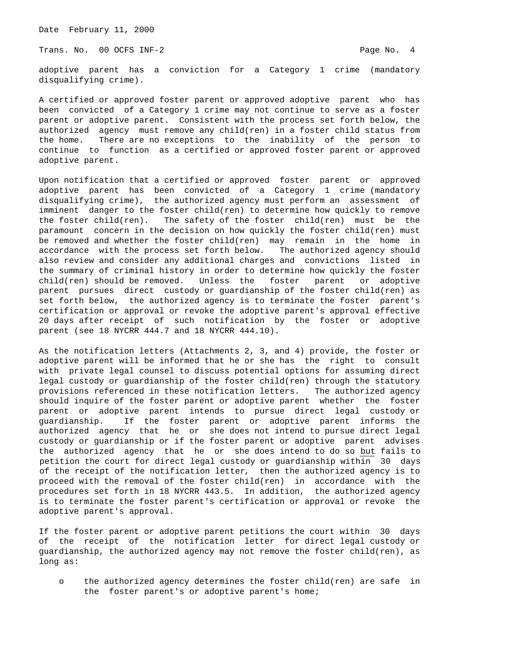Date February 11, 2000

Trans. No. 00 OCFS INF-2 **Page No. 4** Page No. 4

adoptive parent has a conviction for a Category 1 crime (mandatory disqualifying crime).

A certified or approved foster parent or approved adoptive parent who has been convicted of a Category 1 crime may not continue to serve as a foster parent or adoptive parent. Consistent with the process set forth below, the authorized agency must remove any child(ren) in a foster child status from the home. There are no exceptions to the inability of the person to continue to function as a certified or approved foster parent or approved adoptive parent.

Upon notification that a certified or approved foster parent or approved adoptive parent has been convicted of a Category 1 crime (mandatory disqualifying crime), the authorized agency must perform an assessment of imminent danger to the foster child(ren) to determine how quickly to remove the foster child(ren). The safety of the foster child(ren) must be the paramount concern in the decision on how quickly the foster child(ren) must be removed and whether the foster child(ren) may remain in the home in accordance with the process set forth below. The authorized agency should also review and consider any additional charges and convictions listed in the summary of criminal history in order to determine how quickly the foster child(ren) should be removed. Unless the foster parent or adoptive parent pursues direct custody or guardianship of the foster child(ren) as set forth below, the authorized agency is to terminate the foster parent's certification or approval or revoke the adoptive parent's approval effective 20 days after receipt of such notification by the foster or adoptive parent (see 18 NYCRR 444.7 and 18 NYCRR 444.10).

As the notification letters (Attachments 2, 3, and 4) provide, the foster or adoptive parent will be informed that he or she has the right to consult with private legal counsel to discuss potential options for assuming direct legal custody or guardianship of the foster child(ren) through the statutory provisions referenced in these notification letters. The authorized agency should inquire of the foster parent or adoptive parent whether the foster parent or adoptive parent intends to pursue direct legal custody or guardianship. If the foster parent or adoptive parent informs the authorized agency that he or she does not intend to pursue direct legal custody or guardianship or if the foster parent or adoptive parent advises the authorized agency that he or she does intend to do so but fails to petition the court for direct legal custody or guardianship within 30 days of the receipt of the notification letter, then the authorized agency is to proceed with the removal of the foster child(ren) in accordance with the procedures set forth in 18 NYCRR 443.5. In addition, the authorized agency is to terminate the foster parent's certification or approval or revoke the adoptive parent's approval.

If the foster parent or adoptive parent petitions the court within 30 days of the receipt of the notification letter for direct legal custody or guardianship, the authorized agency may not remove the foster child(ren), as long as:

 o the authorized agency determines the foster child(ren) are safe in the foster parent's or adoptive parent's home;